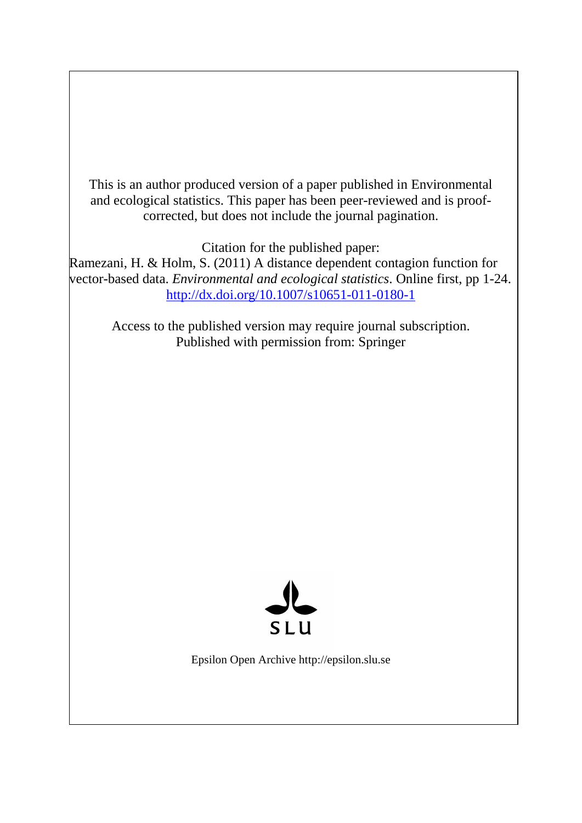This is an author produced version of a paper published in Environmental and ecological statistics. This paper has been peer-reviewed and is proofcorrected, but does not include the journal pagination.

Citation for the published paper:

Ramezani, H. & Holm, S. (2011) A distance dependent contagion function for vector-based data. *Environmental and ecological statistics*. Online first, pp 1-24. <http://dx.doi.org/10.1007/s10651-011-0180-1>

Access to the published version may require journal subscription. Published with permission from: Springer



Epsilon Open Archive http://epsilon.slu.se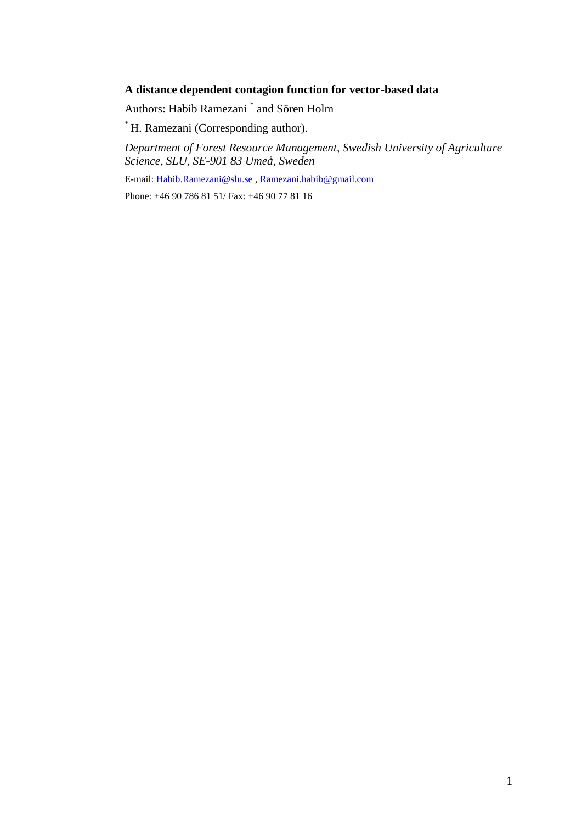# **A distance dependent contagion function for vector-based data**

Authors: Habib Ramezani \* and Sören Holm

\* H. Ramezani (Corresponding author).

*Department of Forest Resource Management, Swedish University of Agriculture Science, SLU, SE-901 83 Umeå, Sweden*

E-mail: [Habib.Ramezani@slu.se](mailto:Habib.Ramezani@slu.se) , [Ramezani.habib@gmail.com](mailto:Ramezani.habib@gmail.com)

Phone: +46 90 786 81 51/ Fax: +46 90 77 81 16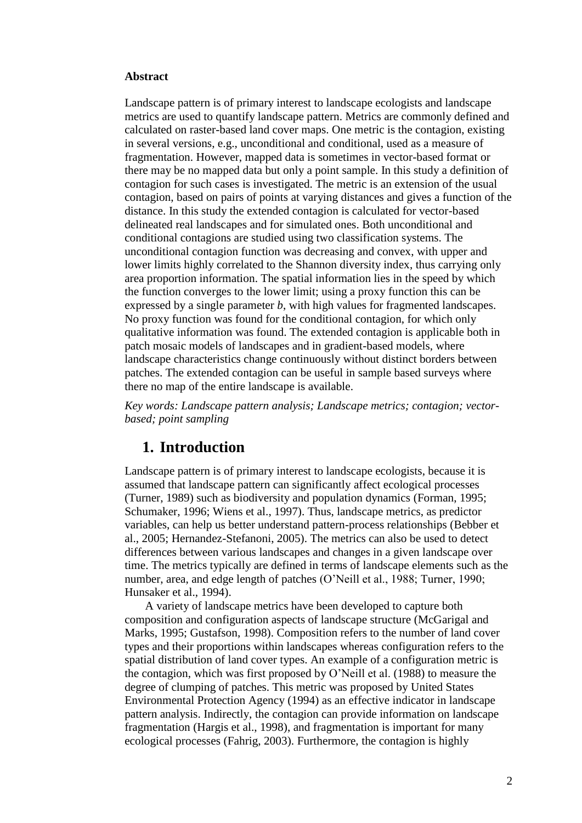#### **Abstract**

Landscape pattern is of primary interest to landscape ecologists and landscape metrics are used to quantify landscape pattern. Metrics are commonly defined and calculated on raster-based land cover maps. One metric is the contagion, existing in several versions, e.g., unconditional and conditional, used as a measure of fragmentation. However, mapped data is sometimes in vector-based format or there may be no mapped data but only a point sample. In this study a definition of contagion for such cases is investigated. The metric is an extension of the usual contagion, based on pairs of points at varying distances and gives a function of the distance. In this study the extended contagion is calculated for vector-based delineated real landscapes and for simulated ones. Both unconditional and conditional contagions are studied using two classification systems. The unconditional contagion function was decreasing and convex, with upper and lower limits highly correlated to the Shannon diversity index, thus carrying only area proportion information. The spatial information lies in the speed by which the function converges to the lower limit; using a proxy function this can be expressed by a single parameter *b*, with high values for fragmented landscapes. No proxy function was found for the conditional contagion, for which only qualitative information was found. The extended contagion is applicable both in patch mosaic models of landscapes and in gradient-based models, where landscape characteristics change continuously without distinct borders between patches. The extended contagion can be useful in sample based surveys where there no map of the entire landscape is available.

*Key words: Landscape pattern analysis; Landscape metrics; contagion; vectorbased; point sampling*

# **1. Introduction**

Landscape pattern is of primary interest to landscape ecologists, because it is assumed that landscape pattern can significantly affect ecological processes (Turner, 1989) such as biodiversity and population dynamics (Forman, 1995; Schumaker, 1996; Wiens et al., 1997). Thus, landscape metrics, as predictor variables, can help us better understand pattern-process relationships (Bebber et al., 2005; Hernandez-Stefanoni, 2005). The metrics can also be used to detect differences between various landscapes and changes in a given landscape over time. The metrics typically are defined in terms of landscape elements such as the number, area, and edge length of patches (O'Neill et al., 1988; Turner, 1990; Hunsaker et al., 1994).

 A variety of landscape metrics have been developed to capture both composition and configuration aspects of landscape structure (McGarigal and Marks, 1995; Gustafson, 1998). Composition refers to the number of land cover types and their proportions within landscapes whereas configuration refers to the spatial distribution of land cover types. An example of a configuration metric is the contagion, which was first proposed by O'Neill et al. (1988) to measure the degree of clumping of patches. This metric was proposed by United States Environmental Protection Agency (1994) as an effective indicator in landscape pattern analysis. Indirectly, the contagion can provide information on landscape fragmentation (Hargis et al., 1998), and fragmentation is important for many ecological processes (Fahrig, 2003). Furthermore, the contagion is highly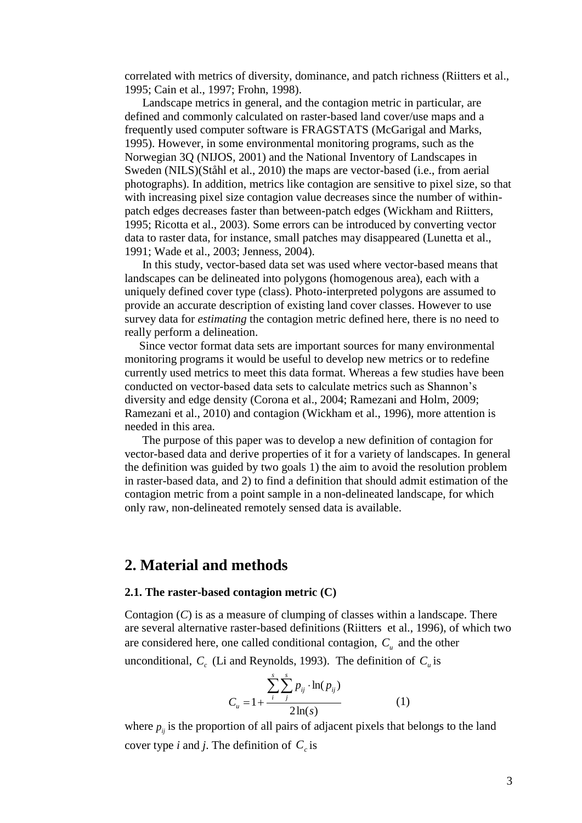correlated with metrics of diversity, dominance, and patch richness (Riitters et al., 1995; Cain et al., 1997; Frohn, 1998).

 Landscape metrics in general, and the contagion metric in particular, are defined and commonly calculated on raster-based land cover/use maps and a frequently used computer software is FRAGSTATS (McGarigal and Marks, 1995). However, in some environmental monitoring programs, such as the Norwegian 3Q (NIJOS, 2001) and the National Inventory of Landscapes in Sweden (NILS)(Ståhl et al., 2010) the maps are vector-based (i.e., from aerial photographs). In addition, metrics like contagion are sensitive to pixel size, so that with increasing pixel size contagion value decreases since the number of withinpatch edges decreases faster than between-patch edges (Wickham and Riitters, 1995; Ricotta et al., 2003). Some errors can be introduced by converting vector data to raster data, for instance, small patches may disappeared (Lunetta et al., 1991; Wade et al., 2003; Jenness, 2004).

 In this study, vector-based data set was used where vector-based means that landscapes can be delineated into polygons (homogenous area), each with a uniquely defined cover type (class). Photo-interpreted polygons are assumed to provide an accurate description of existing land cover classes. However to use survey data for *estimating* the contagion metric defined here, there is no need to really perform a delineation.

 Since vector format data sets are important sources for many environmental monitoring programs it would be useful to develop new metrics or to redefine currently used metrics to meet this data format. Whereas a few studies have been conducted on vector-based data sets to calculate metrics such as Shannon's diversity and edge density (Corona et al., 2004; Ramezani and Holm, 2009; Ramezani et al., 2010) and contagion (Wickham et al., 1996), more attention is needed in this area.

 The purpose of this paper was to develop a new definition of contagion for vector-based data and derive properties of it for a variety of landscapes. In general the definition was guided by two goals 1) the aim to avoid the resolution problem in raster-based data, and 2) to find a definition that should admit estimation of the contagion metric from a point sample in a non-delineated landscape, for which only raw, non-delineated remotely sensed data is available.

## **2. Material and methods**

### **2.1. The raster-based contagion metric (C)**

Contagion (*C*) is as a measure of clumping of classes within a landscape. There are several alternative raster-based definitions (Riitters et al., 1996), of which two are considered here, one called conditional contagion, *Cu* and the other unconditional,  $C_c$  (Li and Reynolds, 1993). The definition of  $C_u$  is

$$
C_u = 1 + \frac{\sum_{i=1}^{s} p_{ij} \cdot \ln(p_{ij})}{2 \ln(s)}
$$
 (1)

where  $p_{ij}$  is the proportion of all pairs of adjacent pixels that belongs to the land cover type *i* and *j*. The definition of  $C_c$  is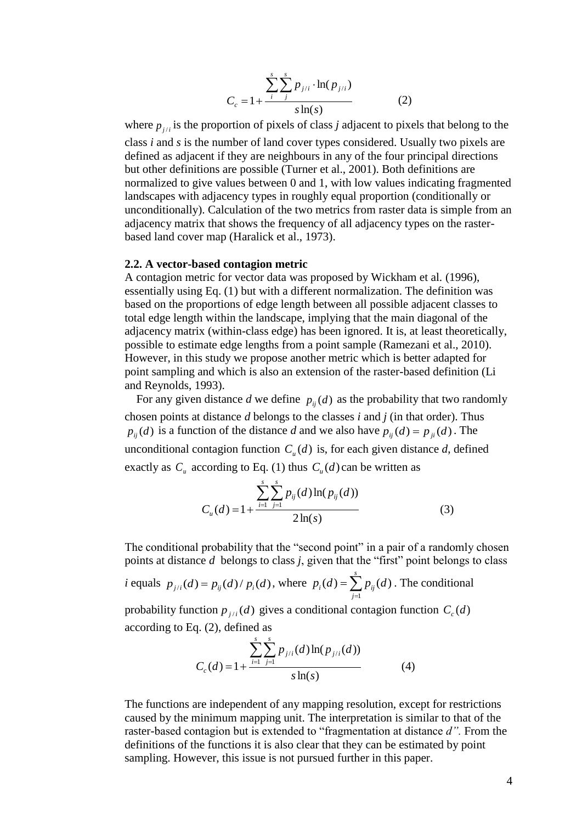$$
C_c = 1 + \frac{\sum_{i}^{s} \sum_{j}^{s} p_{j/i} \cdot \ln(p_{j/i})}{s \ln(s)}
$$
 (2)

where  $p_{j/i}$  is the proportion of pixels of class *j* adjacent to pixels that belong to the class *i* and *s* is the number of land cover types considered. Usually two pixels are defined as adjacent if they are neighbours in any of the four principal directions but other definitions are possible (Turner et al., 2001). Both definitions are normalized to give values between 0 and 1, with low values indicating fragmented landscapes with adjacency types in roughly equal proportion (conditionally or unconditionally). Calculation of the two metrics from raster data is simple from an adjacency matrix that shows the frequency of all adjacency types on the rasterbased land cover map (Haralick et al., 1973).

#### **2.2. A vector-based contagion metric**

A contagion metric for vector data was proposed by Wickham et al. (1996), essentially using Eq. (1) but with a different normalization. The definition was based on the proportions of edge length between all possible adjacent classes to total edge length within the landscape, implying that the main diagonal of the adjacency matrix (within-class edge) has been ignored. It is, at least theoretically, possible to estimate edge lengths from a point sample (Ramezani et al., 2010). However, in this study we propose another metric which is better adapted for point sampling and which is also an extension of the raster-based definition (Li and Reynolds, 1993).

For any given distance *d* we define  $p_{ij}(d)$  as the probability that two randomly chosen points at distance *d* belongs to the classes *i* and *j* (in that order). Thus  $p_{ij}(d)$  is a function of the distance *d* and we also have  $p_{ij}(d) = p_{ji}(d)$ . The unconditional contagion function  $C_u(d)$  is, for each given distance *d*, defined exactly as  $C_u$  according to Eq. (1) thus  $C_u(d)$  can be written as

$$
C_u(d) = 1 + \frac{\sum_{i=1}^{s} \sum_{j=1}^{s} p_{ij}(d) \ln(p_{ij}(d))}{2 \ln(s)}
$$
(3)

The conditional probability that the "second point" in a pair of a randomly chosen points at distance *d* belongs to class *j*, given that the "first" point belongs to class

*i* equals  $p_{j/i}(d) = p_{ij}(d) / p_i(d)$ , where  $p_i(d) = \sum_{j=1}^{s}$ *j*  $p_i$   $(d)$  =  $\sum p_{ij}$   $(d)$ 1  $(d) = \sum p_{ii}(d)$ . The conditional

probability function  $p_{j/i}(d)$  gives a conditional contagion function  $C_c(d)$ according to Eq. (2), defined as

$$
C_c(d) = 1 + \frac{\sum_{i=1}^{s} \sum_{j=1}^{s} p_{j/i}(d) \ln(p_{j/i}(d))}{s \ln(s)}
$$
(4)

The functions are independent of any mapping resolution, except for restrictions caused by the minimum mapping unit. The interpretation is similar to that of the raster-based contagion but is extended to "fragmentation at distance *d".* From the definitions of the functions it is also clear that they can be estimated by point sampling. However, this issue is not pursued further in this paper.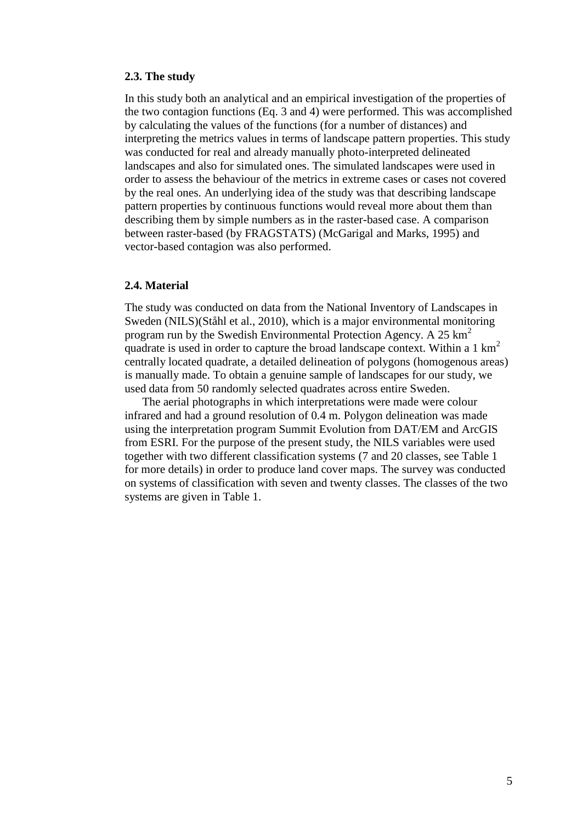#### **2.3. The study**

In this study both an analytical and an empirical investigation of the properties of the two contagion functions (Eq. 3 and 4) were performed. This was accomplished by calculating the values of the functions (for a number of distances) and interpreting the metrics values in terms of landscape pattern properties. This study was conducted for real and already manually photo-interpreted delineated landscapes and also for simulated ones. The simulated landscapes were used in order to assess the behaviour of the metrics in extreme cases or cases not covered by the real ones. An underlying idea of the study was that describing landscape pattern properties by continuous functions would reveal more about them than describing them by simple numbers as in the raster-based case. A comparison between raster-based (by FRAGSTATS) (McGarigal and Marks, 1995) and vector-based contagion was also performed.

#### **2.4. Material**

The study was conducted on data from the National Inventory of Landscapes in Sweden (NILS)(Ståhl et al., 2010), which is a major environmental monitoring program run by the Swedish Environmental Protection Agency. A  $25 \text{ km}^2$ quadrate is used in order to capture the broad landscape context. Within a  $1 \text{ km}^2$ centrally located quadrate, a detailed delineation of polygons (homogenous areas) is manually made. To obtain a genuine sample of landscapes for our study, we used data from 50 randomly selected quadrates across entire Sweden.

 The aerial photographs in which interpretations were made were colour infrared and had a ground resolution of 0.4 m. Polygon delineation was made using the interpretation program Summit Evolution from DAT/EM and ArcGIS from ESRI. For the purpose of the present study, the NILS variables were used together with two different classification systems (7 and 20 classes, see Table 1 for more details) in order to produce land cover maps. The survey was conducted on systems of classification with seven and twenty classes. The classes of the two systems are given in Table 1.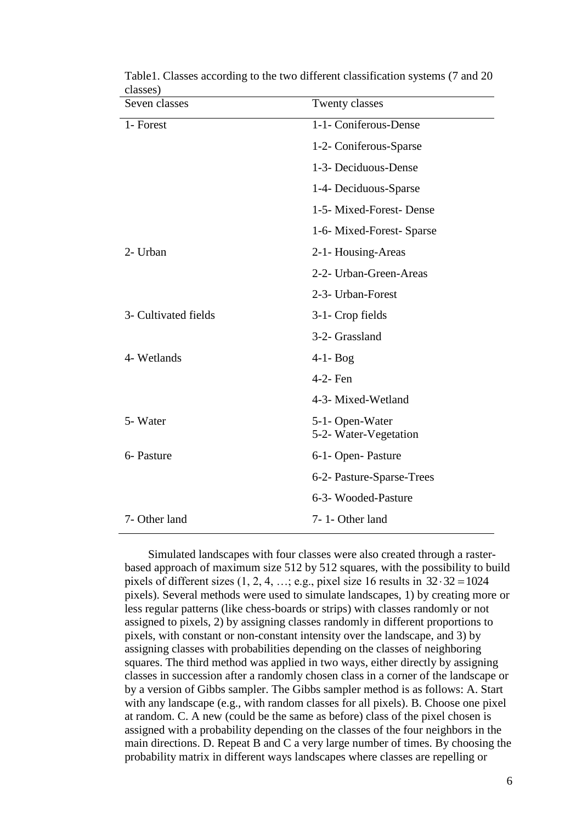| Seven classes        | Twenty classes                           |  |  |
|----------------------|------------------------------------------|--|--|
| 1- Forest            | 1-1- Coniferous-Dense                    |  |  |
|                      | 1-2- Coniferous-Sparse                   |  |  |
|                      | 1-3- Deciduous-Dense                     |  |  |
|                      | 1-4- Deciduous-Sparse                    |  |  |
|                      | 1-5- Mixed-Forest- Dense                 |  |  |
|                      | 1-6- Mixed-Forest- Sparse                |  |  |
| 2- Urban             | 2-1- Housing-Areas                       |  |  |
|                      | 2-2- Urban-Green-Areas                   |  |  |
|                      | 2-3- Urban-Forest                        |  |  |
| 3- Cultivated fields | 3-1- Crop fields                         |  |  |
|                      | 3-2- Grassland                           |  |  |
| 4- Wetlands          | $4-1-$ Bog                               |  |  |
|                      | 4-2- Fen                                 |  |  |
|                      | 4-3- Mixed-Wetland                       |  |  |
| 5- Water             | 5-1- Open-Water<br>5-2- Water-Vegetation |  |  |
| 6- Pasture           | 6-1- Open- Pasture                       |  |  |
|                      | 6-2- Pasture-Sparse-Trees                |  |  |
|                      | 6-3- Wooded-Pasture                      |  |  |
| 7- Other land        | 7-1-Other land                           |  |  |

Table1. Classes according to the two different classification systems (7 and 20 classes)

 Simulated landscapes with four classes were also created through a rasterbased approach of maximum size 512 by 512 squares, with the possibility to build pixels of different sizes  $(1, 2, 4, \ldots)$ ; e.g., pixel size 16 results in  $32.32 = 1024$ pixels). Several methods were used to simulate landscapes, 1) by creating more or less regular patterns (like chess-boards or strips) with classes randomly or not assigned to pixels, 2) by assigning classes randomly in different proportions to pixels, with constant or non-constant intensity over the landscape, and 3) by assigning classes with probabilities depending on the classes of neighboring squares. The third method was applied in two ways, either directly by assigning classes in succession after a randomly chosen class in a corner of the landscape or by a version of Gibbs sampler. The Gibbs sampler method is as follows: A. Start with any landscape (e.g., with random classes for all pixels). B. Choose one pixel at random. C. A new (could be the same as before) class of the pixel chosen is assigned with a probability depending on the classes of the four neighbors in the main directions. D. Repeat B and C a very large number of times. By choosing the probability matrix in different ways landscapes where classes are repelling or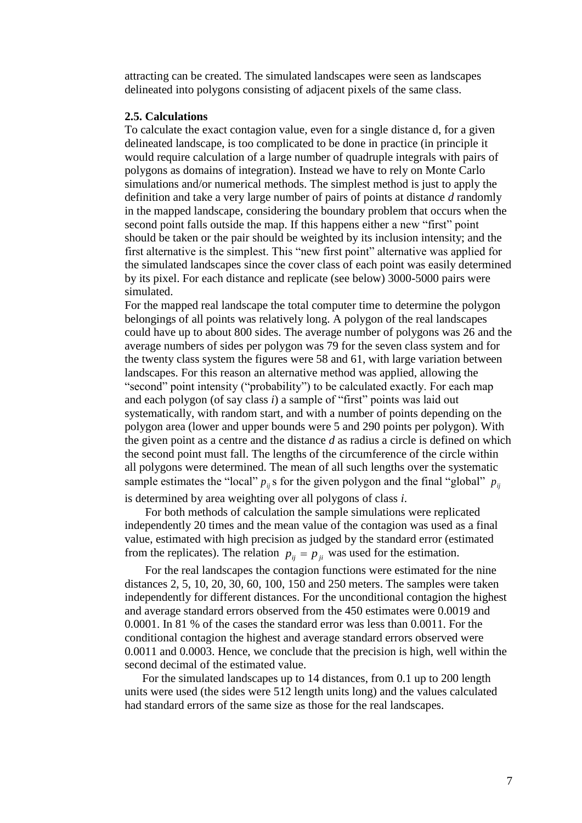attracting can be created. The simulated landscapes were seen as landscapes delineated into polygons consisting of adjacent pixels of the same class.

### **2.5. Calculations**

To calculate the exact contagion value, even for a single distance d, for a given delineated landscape, is too complicated to be done in practice (in principle it would require calculation of a large number of quadruple integrals with pairs of polygons as domains of integration). Instead we have to rely on Monte Carlo simulations and/or numerical methods. The simplest method is just to apply the definition and take a very large number of pairs of points at distance *d* randomly in the mapped landscape, considering the boundary problem that occurs when the second point falls outside the map. If this happens either a new "first" point should be taken or the pair should be weighted by its inclusion intensity; and the first alternative is the simplest. This "new first point" alternative was applied for the simulated landscapes since the cover class of each point was easily determined by its pixel. For each distance and replicate (see below) 3000-5000 pairs were simulated.

For the mapped real landscape the total computer time to determine the polygon belongings of all points was relatively long. A polygon of the real landscapes could have up to about 800 sides. The average number of polygons was 26 and the average numbers of sides per polygon was 79 for the seven class system and for the twenty class system the figures were 58 and 61, with large variation between landscapes. For this reason an alternative method was applied, allowing the "second" point intensity ("probability") to be calculated exactly. For each map and each polygon (of say class *i*) a sample of "first" points was laid out systematically, with random start, and with a number of points depending on the polygon area (lower and upper bounds were 5 and 290 points per polygon). With the given point as a centre and the distance *d* as radius a circle is defined on which the second point must fall. The lengths of the circumference of the circle within all polygons were determined. The mean of all such lengths over the systematic sample estimates the "local"  $p_{ij}$  s for the given polygon and the final "global"  $p_{ij}$ is determined by area weighting over all polygons of class *i*.

 For both methods of calculation the sample simulations were replicated independently 20 times and the mean value of the contagion was used as a final value, estimated with high precision as judged by the standard error (estimated from the replicates). The relation  $p_{ij} = p_{ji}$  was used for the estimation.

 For the real landscapes the contagion functions were estimated for the nine distances 2, 5, 10, 20, 30, 60, 100, 150 and 250 meters. The samples were taken independently for different distances. For the unconditional contagion the highest and average standard errors observed from the 450 estimates were 0.0019 and 0.0001. In 81 % of the cases the standard error was less than 0.0011. For the conditional contagion the highest and average standard errors observed were 0.0011 and 0.0003. Hence, we conclude that the precision is high, well within the second decimal of the estimated value.

 For the simulated landscapes up to 14 distances, from 0.1 up to 200 length units were used (the sides were 512 length units long) and the values calculated had standard errors of the same size as those for the real landscapes.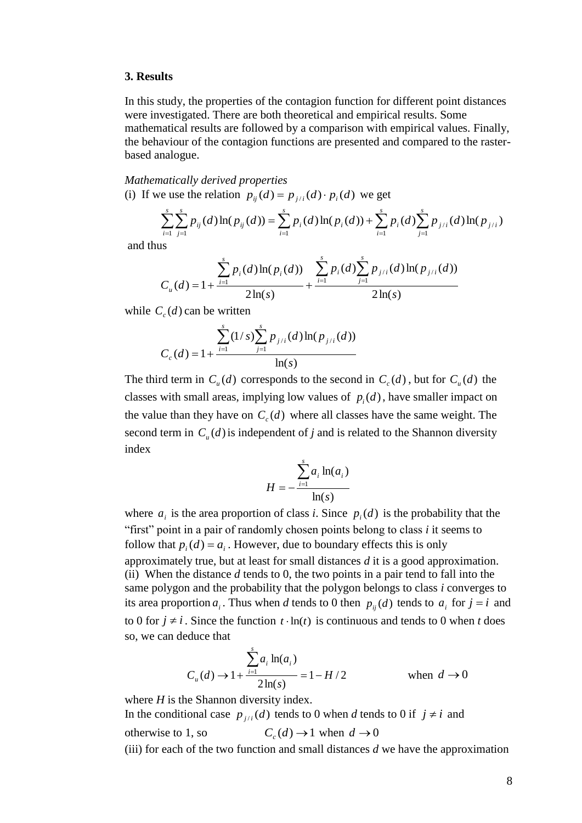#### **3. Results**

In this study, the properties of the contagion function for different point distances were investigated. There are both theoretical and empirical results. Some mathematical results are followed by a comparison with empirical values. Finally, the behaviour of the contagion functions are presented and compared to the rasterbased analogue.

*Mathematically derived properties* (i) If we use the relation  $p_{ij}(d) = p_{j/i}(d) \cdot p_i(d)$  we get

$$
\sum_{i=1}^{s} \sum_{j=1}^{s} p_{ij}(d) \ln(p_{ij}(d)) = \sum_{i=1}^{s} p_i(d) \ln(p_i(d)) + \sum_{i=1}^{s} p_i(d) \sum_{j=1}^{s} p_{j/i}(d) \ln(p_{j/i})
$$

and thus

$$
C_u(d) = 1 + \frac{\sum_{i=1}^{s} p_i(d) \ln(p_i(d))}{2 \ln(s)} + \frac{\sum_{i=1}^{s} p_i(d) \sum_{j=1}^{s} p_{j/i}(d) \ln(p_{j/i}(d))}{2 \ln(s)}
$$

while  $C_c(d)$  can be written

$$
C_c(d) = 1 + \frac{\sum_{i=1}^{s} (1/s) \sum_{j=1}^{s} p_{j/i}(d) \ln(p_{j/i}(d))}{\ln(s)}
$$

The third term in  $C_u(d)$  corresponds to the second in  $C_c(d)$ , but for  $C_u(d)$  the classes with small areas, implying low values of  $p_i(d)$ , have smaller impact on the value than they have on  $C_c(d)$  where all classes have the same weight. The second term in  $C_u(d)$  is independent of *j* and is related to the Shannon diversity index

$$
H = -\frac{\sum_{i=1}^{s} a_i \ln(a_i)}{\ln(s)}
$$

where  $a_i$  is the area proportion of class *i*. Since  $p_i(d)$  is the probability that the "first" point in a pair of randomly chosen points belong to class *i* it seems to follow that  $p_i(d) = a_i$ . However, due to boundary effects this is only approximately true, but at least for small distances *d* it is a good approximation. (ii) When the distance *d* tends to 0, the two points in a pair tend to fall into the same polygon and the probability that the polygon belongs to class *i* converges to its area proportion  $a_i$ . Thus when *d* tends to 0 then  $p_{ij}(d)$  tends to  $a_i$  for  $j = i$  and to 0 for  $j \neq i$ . Since the function  $t \cdot \ln(t)$  is continuous and tends to 0 when *t* does so, we can deduce that

$$
C_u(d) \to 1 + \frac{\sum_{i=1}^{s} a_i \ln(a_i)}{2 \ln(s)} = 1 - H/2 \quad \text{when } d \to 0
$$

where *H* is the Shannon diversity index.

In the conditional case  $p_{j/i}(d)$  tends to 0 when *d* tends to 0 if  $j \neq i$  and otherwise to 1, so  $C_c(d) \rightarrow 1$  when  $d \rightarrow 0$ (iii) for each of the two function and small distances *d* we have the approximation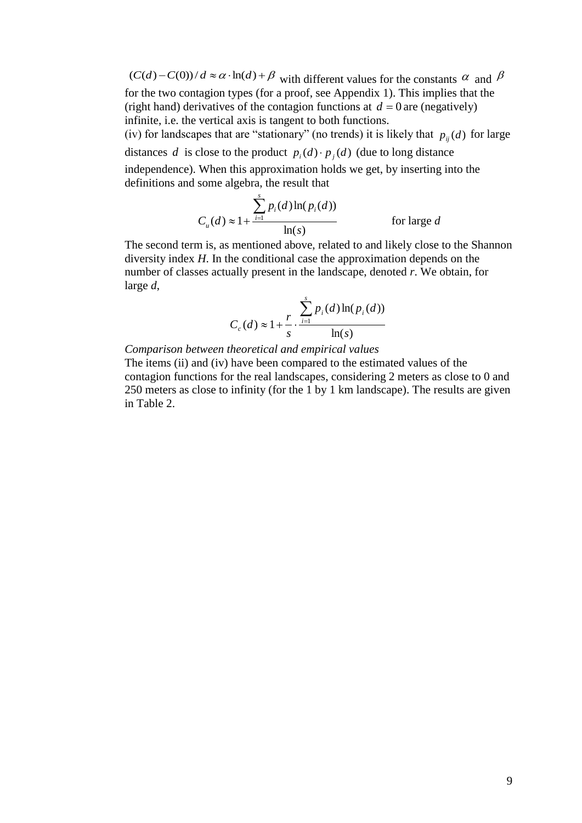$(C(d) - C(0))/d \approx \alpha \cdot \ln(d) + \beta$  with different values for the constants  $\alpha$  and  $\beta$ for the two contagion types (for a proof, see Appendix 1). This implies that the (right hand) derivatives of the contagion functions at  $d = 0$  are (negatively) infinite, i.e. the vertical axis is tangent to both functions. (iv) for landscapes that are "stationary" (no trends) it is likely that  $p_{ij}(d)$  for large

distances *d* is close to the product  $p_i(d) \cdot p_j(d)$  (due to long distance independence). When this approximation holds we get, by inserting into the definitions and some algebra, the result that

$$
C_u(d) \approx 1 + \frac{\sum_{i=1}^{s} p_i(d) \ln(p_i(d))}{\ln(s)} \quad \text{for large } d
$$

The second term is, as mentioned above, related to and likely close to the Shannon diversity index *H*. In the conditional case the approximation depends on the number of classes actually present in the landscape, denoted *r*. We obtain, for large *d*,

$$
C_c(d) \approx 1 + \frac{r}{s} \cdot \frac{\sum_{i=1}^{s} p_i(d) \ln(p_i(d))}{\ln(s)}
$$

*Comparison between theoretical and empirical values*

The items (ii) and (iv) have been compared to the estimated values of the contagion functions for the real landscapes, considering 2 meters as close to 0 and 250 meters as close to infinity (for the 1 by 1 km landscape). The results are given in Table 2.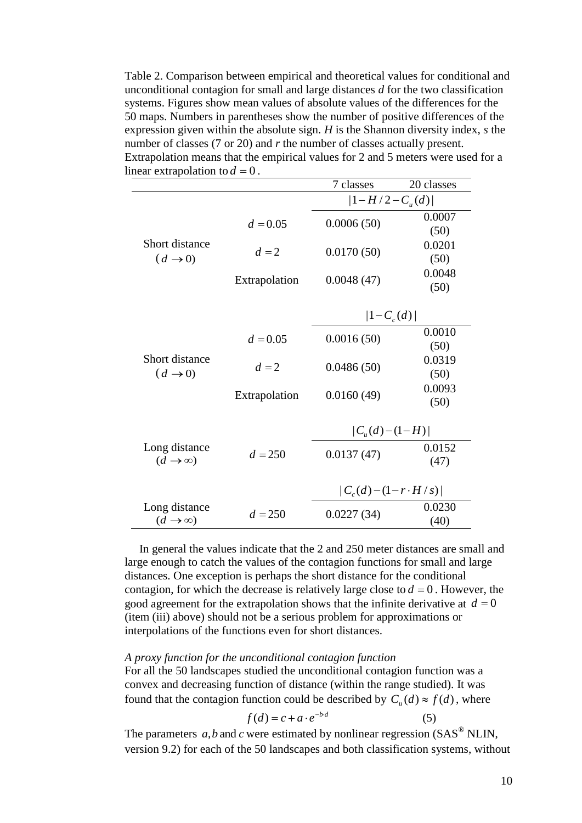Table 2. Comparison between empirical and theoretical values for conditional and unconditional contagion for small and large distances *d* for the two classification systems. Figures show mean values of absolute values of the differences for the 50 maps. Numbers in parentheses show the number of positive differences of the expression given within the absolute sign. *H* is the Shannon diversity index, *s* the number of classes (7 or 20) and *r* the number of classes actually present. Extrapolation means that the empirical values for 2 and 5 meters were used for a linear extrapolation to  $d = 0$ .

| an enuaponanon io a                       |               |                           |                |  |
|-------------------------------------------|---------------|---------------------------|----------------|--|
|                                           |               | 7 classes                 | 20 classes     |  |
|                                           |               | $ 1-H/2-C_u(d) $          |                |  |
| Short distance<br>$(d \rightarrow 0)$     | $d = 0.05$    | 0.0006(50)                | 0.0007<br>(50) |  |
|                                           | $d=2$         | 0.0170(50)                | 0.0201<br>(50) |  |
|                                           | Extrapolation | 0.0048(47)                | 0.0048<br>(50) |  |
|                                           |               | $ 1 - C_c(d) $            |                |  |
|                                           | $d = 0.05$    | 0.0016(50)                | 0.0010<br>(50) |  |
| Short distance<br>$(d \rightarrow 0)$     | $d=2$         | 0.0486(50)                | 0.0319<br>(50) |  |
|                                           | Extrapolation | 0.0160(49)                | 0.0093<br>(50) |  |
|                                           |               | $ C_u(d)-(1-H) $          |                |  |
| Long distance<br>$(d \rightarrow \infty)$ | $d = 250$     | 0.0137(47)                | 0.0152<br>(47) |  |
|                                           |               | $ C_c(d)-(1-r\cdot H/s) $ |                |  |
| Long distance<br>$(d \rightarrow \infty)$ | $d = 250$     | 0.0227(34)                | 0.0230<br>(40) |  |

 In general the values indicate that the 2 and 250 meter distances are small and large enough to catch the values of the contagion functions for small and large distances. One exception is perhaps the short distance for the conditional contagion, for which the decrease is relatively large close to  $d = 0$ . However, the good agreement for the extrapolation shows that the infinite derivative at  $d = 0$ (item (iii) above) should not be a serious problem for approximations or interpolations of the functions even for short distances.

#### *A proxy function for the unconditional contagion function*

For all the 50 landscapes studied the unconditional contagion function was a convex and decreasing function of distance (within the range studied). It was found that the contagion function could be described by  $C_u(d) \approx f(d)$ , where

$$
f(d) = c + a \cdot e^{-b \cdot d} \tag{5}
$$

The parameters  $a, b$  and  $c$  were estimated by nonlinear regression (SAS<sup>®</sup> NLIN, version 9.2) for each of the 50 landscapes and both classification systems, without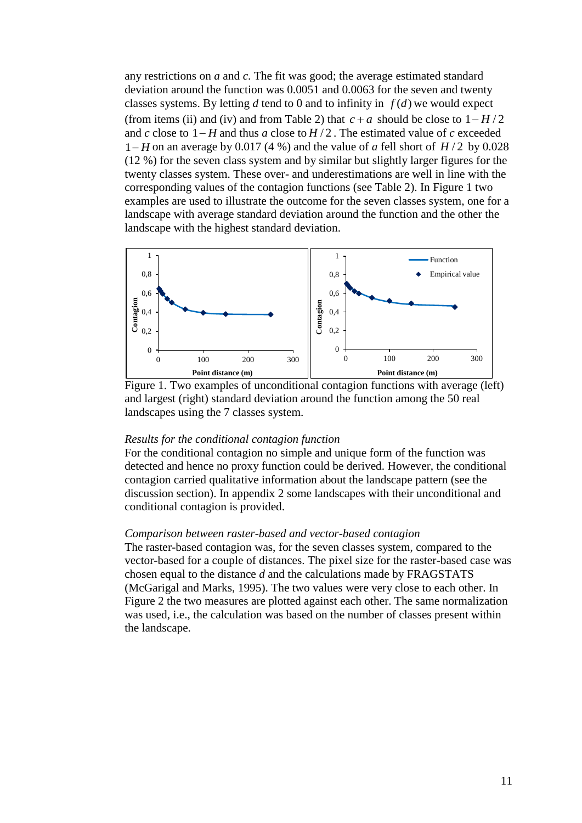any restrictions on *a* and *c*. The fit was good; the average estimated standard deviation around the function was 0.0051 and 0.0063 for the seven and twenty classes systems. By letting  $d$  tend to 0 and to infinity in  $f(d)$  we would expect (from items (ii) and (iv) and from Table 2) that  $c + a$  should be close to  $1 - H/2$ and *c* close to  $1-H$  and thus *a* close to  $H/2$ . The estimated value of *c* exceeded  $1-H$  on an average by 0.017 (4 %) and the value of *a* fell short of  $H/2$  by 0.028 (12 %) for the seven class system and by similar but slightly larger figures for the twenty classes system. These over- and underestimations are well in line with the corresponding values of the contagion functions (see Table 2). In Figure 1 two examples are used to illustrate the outcome for the seven classes system, one for a landscape with average standard deviation around the function and the other the landscape with the highest standard deviation.



Figure 1. Two examples of unconditional contagion functions with average (left) and largest (right) standard deviation around the function among the 50 real landscapes using the 7 classes system.

### *Results for the conditional contagion function*

For the conditional contagion no simple and unique form of the function was detected and hence no proxy function could be derived. However, the conditional contagion carried qualitative information about the landscape pattern (see the discussion section). In appendix 2 some landscapes with their unconditional and conditional contagion is provided.

### *Comparison between raster-based and vector-based contagion*

The raster-based contagion was, for the seven classes system, compared to the vector-based for a couple of distances. The pixel size for the raster-based case was chosen equal to the distance *d* and the calculations made by FRAGSTATS (McGarigal and Marks, 1995). The two values were very close to each other. In Figure 2 the two measures are plotted against each other. The same normalization was used, i.e., the calculation was based on the number of classes present within the landscape.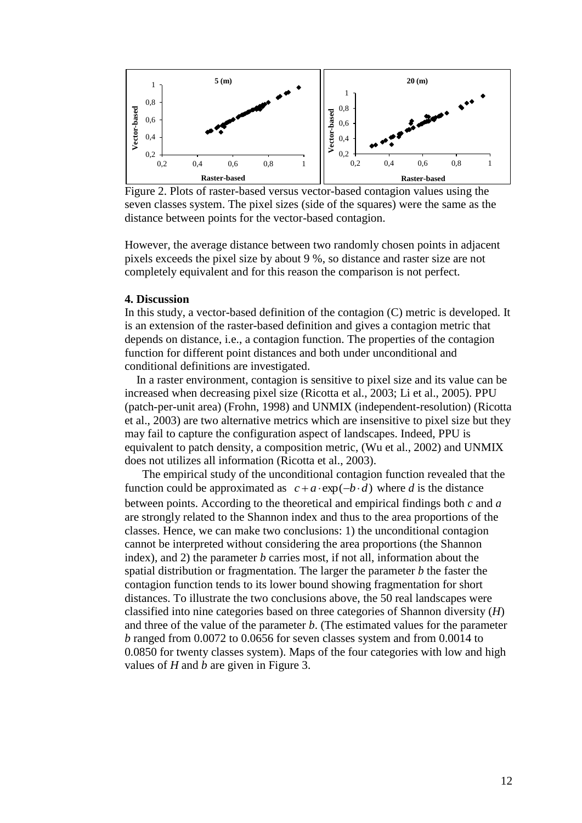

Figure 2. Plots of raster-based versus vector-based contagion values using the seven classes system. The pixel sizes (side of the squares) were the same as the distance between points for the vector-based contagion.

However, the average distance between two randomly chosen points in adjacent pixels exceeds the pixel size by about 9 %, so distance and raster size are not completely equivalent and for this reason the comparison is not perfect.

#### **4. Discussion**

In this study, a vector-based definition of the contagion (C) metric is developed. It is an extension of the raster-based definition and gives a contagion metric that depends on distance, i.e., a contagion function. The properties of the contagion function for different point distances and both under unconditional and conditional definitions are investigated.

 In a raster environment, contagion is sensitive to pixel size and its value can be increased when decreasing pixel size (Ricotta et al., 2003; Li et al., 2005). PPU (patch-per-unit area) (Frohn, 1998) and UNMIX (independent-resolution) (Ricotta et al., 2003) are two alternative metrics which are insensitive to pixel size but they may fail to capture the configuration aspect of landscapes. Indeed, PPU is equivalent to patch density, a composition metric, (Wu et al., 2002) and UNMIX does not utilizes all information (Ricotta et al., 2003).

 The empirical study of the unconditional contagion function revealed that the function could be approximated as  $c + a \cdot \exp(-b \cdot d)$  where *d* is the distance between points. According to the theoretical and empirical findings both *c* and *a* are strongly related to the Shannon index and thus to the area proportions of the classes. Hence, we can make two conclusions: 1) the unconditional contagion cannot be interpreted without considering the area proportions (the Shannon index), and 2) the parameter *b* carries most, if not all, information about the spatial distribution or fragmentation. The larger the parameter *b* the faster the contagion function tends to its lower bound showing fragmentation for short distances. To illustrate the two conclusions above, the 50 real landscapes were classified into nine categories based on three categories of Shannon diversity (*H*) and three of the value of the parameter *b*. (The estimated values for the parameter *b* ranged from 0.0072 to 0.0656 for seven classes system and from 0.0014 to 0.0850 for twenty classes system). Maps of the four categories with low and high values of *H* and *b* are given in Figure 3.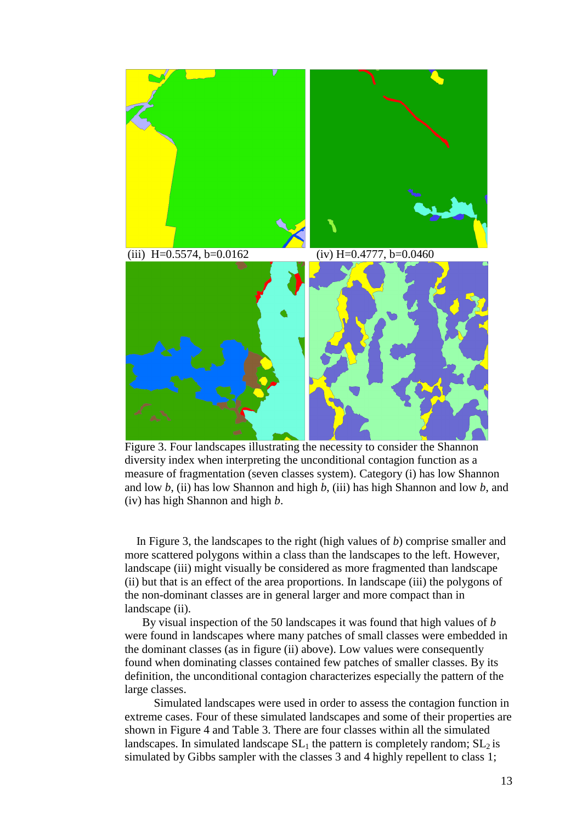

Figure 3. Four landscapes illustrating the necessity to consider the Shannon diversity index when interpreting the unconditional contagion function as a measure of fragmentation (seven classes system). Category (i) has low Shannon and low *b*, (ii) has low Shannon and high *b*, (iii) has high Shannon and low *b*, and (iv) has high Shannon and high *b*.

 In Figure 3, the landscapes to the right (high values of *b*) comprise smaller and more scattered polygons within a class than the landscapes to the left. However, landscape (iii) might visually be considered as more fragmented than landscape (ii) but that is an effect of the area proportions. In landscape (iii) the polygons of the non-dominant classes are in general larger and more compact than in landscape (ii).

 By visual inspection of the 50 landscapes it was found that high values of *b*  were found in landscapes where many patches of small classes were embedded in the dominant classes (as in figure (ii) above). Low values were consequently found when dominating classes contained few patches of smaller classes. By its definition, the unconditional contagion characterizes especially the pattern of the large classes.

 Simulated landscapes were used in order to assess the contagion function in extreme cases. Four of these simulated landscapes and some of their properties are shown in Figure 4 and Table 3. There are four classes within all the simulated landscapes. In simulated landscape  $SL_1$  the pattern is completely random;  $SL_2$  is simulated by Gibbs sampler with the classes 3 and 4 highly repellent to class 1;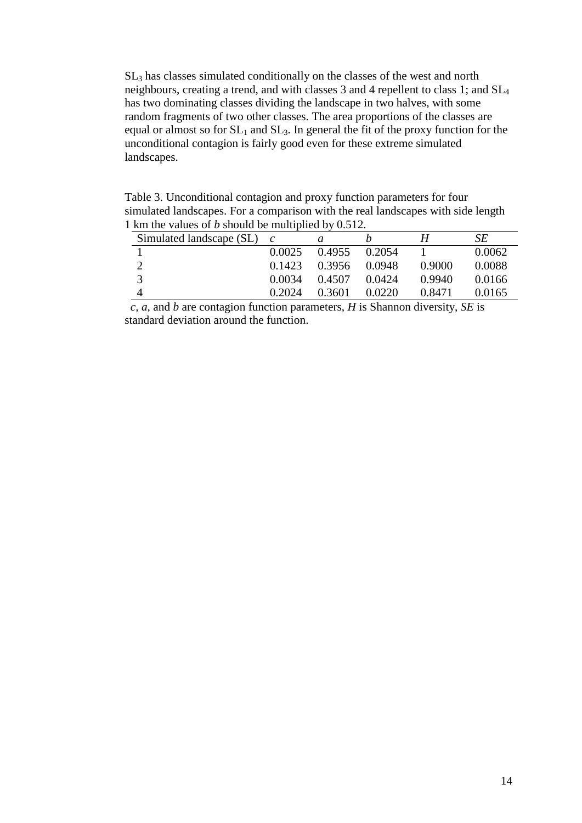SL<sup>3</sup> has classes simulated conditionally on the classes of the west and north neighbours, creating a trend, and with classes 3 and 4 repellent to class 1; and SL<sup>4</sup> has two dominating classes dividing the landscape in two halves, with some random fragments of two other classes. The area proportions of the classes are equal or almost so for  $SL_1$  and  $SL_3$ . In general the fit of the proxy function for the unconditional contagion is fairly good even for these extreme simulated landscapes.

Table 3. Unconditional contagion and proxy function parameters for four simulated landscapes. For a comparison with the real landscapes with side length 1 km the values of *b* should be multiplied by 0.512.

| Simulated landscape $(SL)$ c |        | a      |        |        | SЕ     |
|------------------------------|--------|--------|--------|--------|--------|
|                              | 0.0025 | 0.4955 | 0.2054 |        | 0.0062 |
|                              | 0.1423 | 0.3956 | 0.0948 | 0.9000 | 0.0088 |
|                              | 0.0034 | 0.4507 | 0.0424 | 0.9940 | 0.0166 |
|                              | 0.2024 | 0.3601 | 0.0220 | 0.8471 | 0.0165 |

 *c*, *a*, and *b* are contagion function parameters, *H* is Shannon diversity, *SE* is standard deviation around the function.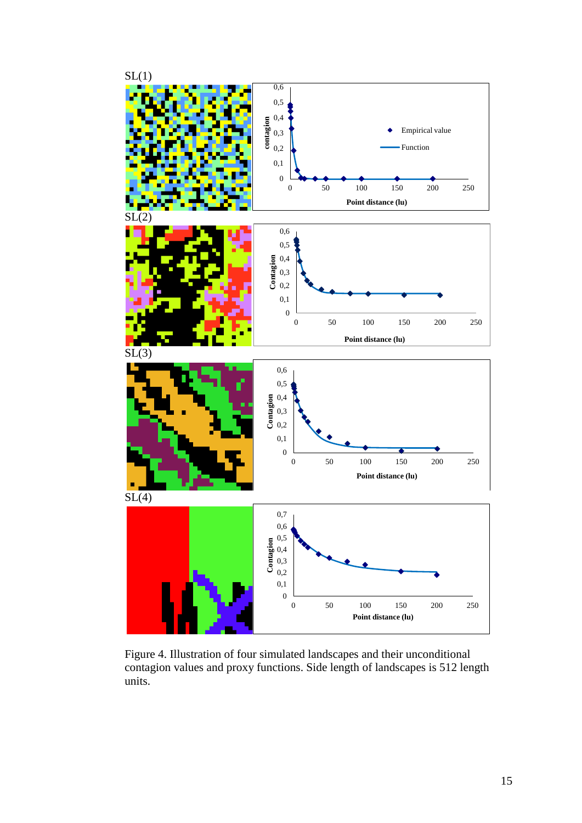

Figure 4. Illustration of four simulated landscapes and their unconditional contagion values and proxy functions. Side length of landscapes is 512 length units.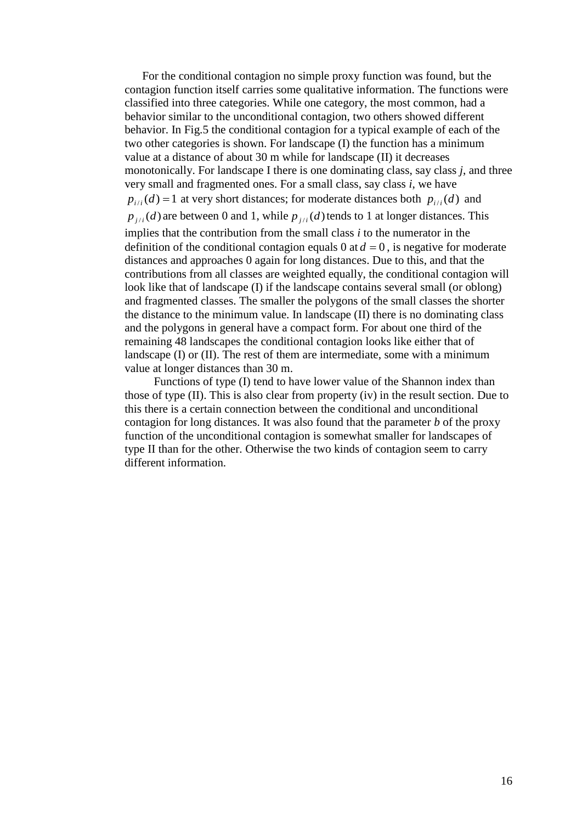For the conditional contagion no simple proxy function was found, but the contagion function itself carries some qualitative information. The functions were classified into three categories. While one category, the most common, had a behavior similar to the unconditional contagion, two others showed different behavior. In Fig.5 the conditional contagion for a typical example of each of the two other categories is shown. For landscape (I) the function has a minimum value at a distance of about 30 m while for landscape (II) it decreases monotonically. For landscape I there is one dominating class, say class *j*, and three very small and fragmented ones. For a small class, say class *i*, we have  $p_{i/i}(d) = 1$  at very short distances; for moderate distances both  $p_{i/i}(d)$  and  $p_{j/i}(d)$  are between 0 and 1, while  $p_{j/i}(d)$  tends to 1 at longer distances. This implies that the contribution from the small class *i* to the numerator in the definition of the conditional contagion equals  $0$  at  $d = 0$ , is negative for moderate distances and approaches 0 again for long distances. Due to this, and that the contributions from all classes are weighted equally, the conditional contagion will look like that of landscape (I) if the landscape contains several small (or oblong) and fragmented classes. The smaller the polygons of the small classes the shorter the distance to the minimum value. In landscape (II) there is no dominating class and the polygons in general have a compact form. For about one third of the remaining 48 landscapes the conditional contagion looks like either that of landscape (I) or (II). The rest of them are intermediate, some with a minimum value at longer distances than 30 m.

 Functions of type (I) tend to have lower value of the Shannon index than those of type (II). This is also clear from property (iv) in the result section. Due to this there is a certain connection between the conditional and unconditional contagion for long distances. It was also found that the parameter *b* of the proxy function of the unconditional contagion is somewhat smaller for landscapes of type II than for the other. Otherwise the two kinds of contagion seem to carry different information.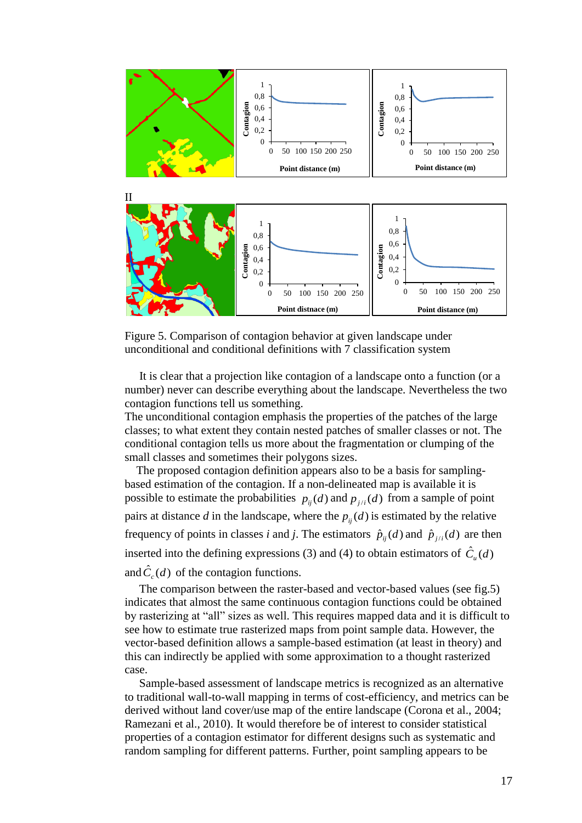

Figure 5. Comparison of contagion behavior at given landscape under unconditional and conditional definitions with 7 classification system

 It is clear that a projection like contagion of a landscape onto a function (or a number) never can describe everything about the landscape. Nevertheless the two contagion functions tell us something.

The unconditional contagion emphasis the properties of the patches of the large classes; to what extent they contain nested patches of smaller classes or not. The conditional contagion tells us more about the fragmentation or clumping of the small classes and sometimes their polygons sizes.

 The proposed contagion definition appears also to be a basis for samplingbased estimation of the contagion. If a non-delineated map is available it is possible to estimate the probabilities  $p_{ij}(d)$  and  $p_{j/i}(d)$  from a sample of point pairs at distance *d* in the landscape, where the  $p_{ij}(d)$  is estimated by the relative frequency of points in classes *i* and *j*. The estimators  $\hat{p}_{ij}(d)$  and  $\hat{p}_{j/i}(d)$  are then inserted into the defining expressions (3) and (4) to obtain estimators of  $\hat{C}_u(d)$ and  $\hat{C}_c(d)$  of the contagion functions.

 The comparison between the raster-based and vector-based values (see fig.5) indicates that almost the same continuous contagion functions could be obtained by rasterizing at "all" sizes as well. This requires mapped data and it is difficult to see how to estimate true rasterized maps from point sample data. However, the vector-based definition allows a sample-based estimation (at least in theory) and this can indirectly be applied with some approximation to a thought rasterized case.

 Sample-based assessment of landscape metrics is recognized as an alternative to traditional wall-to-wall mapping in terms of cost-efficiency, and metrics can be derived without land cover/use map of the entire landscape (Corona et al., 2004; Ramezani et al., 2010). It would therefore be of interest to consider statistical properties of a contagion estimator for different designs such as systematic and random sampling for different patterns. Further, point sampling appears to be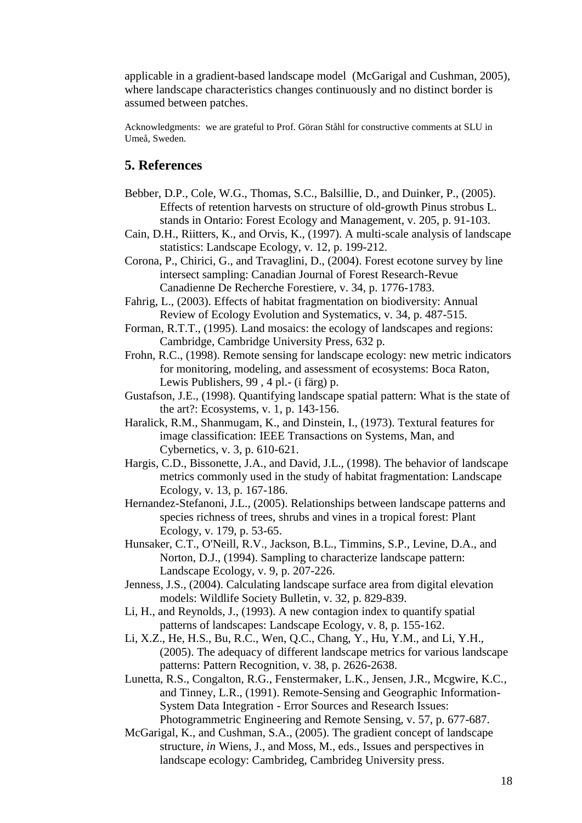applicable in a gradient-based landscape model (McGarigal and Cushman, 2005), where landscape characteristics changes continuously and no distinct border is assumed between patches.

Acknowledgments: we are grateful to Prof. Göran Ståhl for constructive comments at SLU in Umeå, Sweden.

## **5. References**

- Bebber, D.P., Cole, W.G., Thomas, S.C., Balsillie, D., and Duinker, P., (2005). Effects of retention harvests on structure of old-growth Pinus strobus L. stands in Ontario: Forest Ecology and Management, v. 205, p. 91-103.
- Cain, D.H., Riitters, K., and Orvis, K., (1997). A multi-scale analysis of landscape statistics: Landscape Ecology, v. 12, p. 199-212.
- Corona, P., Chirici, G., and Travaglini, D., (2004). Forest ecotone survey by line intersect sampling: Canadian Journal of Forest Research-Revue Canadienne De Recherche Forestiere, v. 34, p. 1776-1783.

Fahrig, L., (2003). Effects of habitat fragmentation on biodiversity: Annual Review of Ecology Evolution and Systematics, v. 34, p. 487-515.

Forman, R.T.T., (1995). Land mosaics: the ecology of landscapes and regions: Cambridge, Cambridge University Press, 632 p.

- Frohn, R.C., (1998). Remote sensing for landscape ecology: new metric indicators for monitoring, modeling, and assessment of ecosystems: Boca Raton, Lewis Publishers, 99 , 4 pl.- (i färg) p.
- Gustafson, J.E., (1998). Quantifying landscape spatial pattern: What is the state of the art?: Ecosystems, v. 1, p. 143-156.
- Haralick, R.M., Shanmugam, K., and Dinstein, I., (1973). Textural features for image classification: IEEE Transactions on Systems, Man, and Cybernetics, v. 3, p. 610-621.
- Hargis, C.D., Bissonette, J.A., and David, J.L., (1998). The behavior of landscape metrics commonly used in the study of habitat fragmentation: Landscape Ecology, v. 13, p. 167-186.
- Hernandez-Stefanoni, J.L., (2005). Relationships between landscape patterns and species richness of trees, shrubs and vines in a tropical forest: Plant Ecology, v. 179, p. 53-65.
- Hunsaker, C.T., O'Neill, R.V., Jackson, B.L., Timmins, S.P., Levine, D.A., and Norton, D.J., (1994). Sampling to characterize landscape pattern: Landscape Ecology, v. 9, p. 207-226.
- Jenness, J.S., (2004). Calculating landscape surface area from digital elevation models: Wildlife Society Bulletin, v. 32, p. 829-839.
- Li, H., and Reynolds, J., (1993). A new contagion index to quantify spatial patterns of landscapes: Landscape Ecology, v. 8, p. 155-162.
- Li, X.Z., He, H.S., Bu, R.C., Wen, Q.C., Chang, Y., Hu, Y.M., and Li, Y.H., (2005). The adequacy of different landscape metrics for various landscape patterns: Pattern Recognition, v. 38, p. 2626-2638.
- Lunetta, R.S., Congalton, R.G., Fenstermaker, L.K., Jensen, J.R., Mcgwire, K.C., and Tinney, L.R., (1991). Remote-Sensing and Geographic Information-System Data Integration - Error Sources and Research Issues: Photogrammetric Engineering and Remote Sensing, v. 57, p. 677-687.

McGarigal, K., and Cushman, S.A., (2005). The gradient concept of landscape structure, *in* Wiens, J., and Moss, M., eds., Issues and perspectives in landscape ecology: Cambrideg, Cambrideg University press.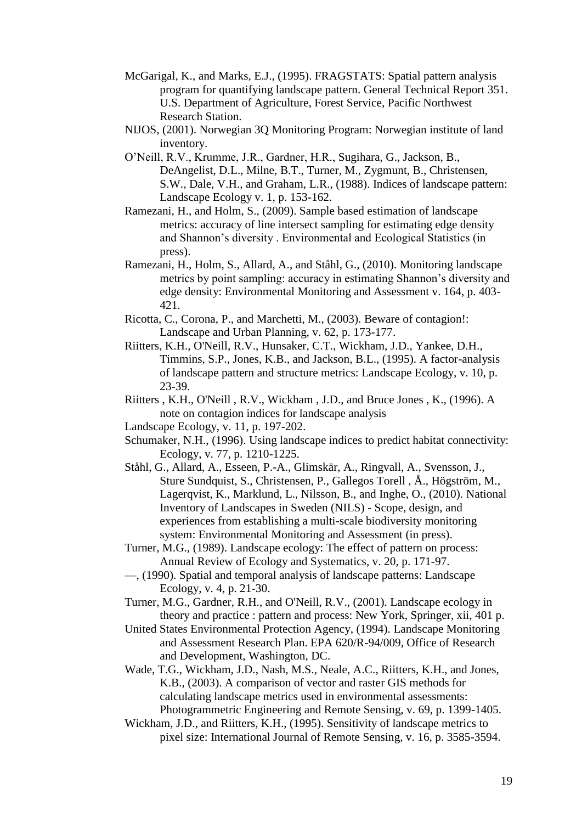- McGarigal, K., and Marks, E.J., (1995). FRAGSTATS: Spatial pattern analysis program for quantifying landscape pattern. General Technical Report 351. U.S. Department of Agriculture, Forest Service, Pacific Northwest Research Station.
- NIJOS, (2001). Norwegian 3Q Monitoring Program: Norwegian institute of land inventory.
- O'Neill, R.V., Krumme, J.R., Gardner, H.R., Sugihara, G., Jackson, B., DeAngelist, D.L., Milne, B.T., Turner, M., Zygmunt, B., Christensen, S.W., Dale, V.H., and Graham, L.R., (1988). Indices of landscape pattern: Landscape Ecology v. 1, p. 153-162.
- Ramezani, H., and Holm, S., (2009). Sample based estimation of landscape metrics: accuracy of line intersect sampling for estimating edge density and Shannon's diversity . Environmental and Ecological Statistics (in press).
- Ramezani, H., Holm, S., Allard, A., and Ståhl, G., (2010). Monitoring landscape metrics by point sampling: accuracy in estimating Shannon's diversity and edge density: Environmental Monitoring and Assessment v. 164, p. 403- 421.
- Ricotta, C., Corona, P., and Marchetti, M., (2003). Beware of contagion!: Landscape and Urban Planning, v. 62, p. 173-177.
- Riitters, K.H., O'Neill, R.V., Hunsaker, C.T., Wickham, J.D., Yankee, D.H., Timmins, S.P., Jones, K.B., and Jackson, B.L., (1995). A factor-analysis of landscape pattern and structure metrics: Landscape Ecology, v. 10, p. 23-39.
- Riitters , K.H., O'Neill , R.V., Wickham , J.D., and Bruce Jones , K., (1996). A note on contagion indices for landscape analysis
- Landscape Ecology, v. 11, p. 197-202.
- Schumaker, N.H., (1996). Using landscape indices to predict habitat connectivity: Ecology, v. 77, p. 1210-1225.
- Ståhl, G., Allard, A., Esseen, P.-A., Glimskär, A., Ringvall, A., Svensson, J., Sture Sundquist, S., Christensen, P., Gallegos Torell , Å., Högström, M., Lagerqvist, K., Marklund, L., Nilsson, B., and Inghe, O., (2010). National Inventory of Landscapes in Sweden (NILS) - Scope, design, and experiences from establishing a multi-scale biodiversity monitoring system: Environmental Monitoring and Assessment (in press).
- Turner, M.G., (1989). Landscape ecology: The effect of pattern on process: Annual Review of Ecology and Systematics, v. 20, p. 171-97.
- —, (1990). Spatial and temporal analysis of landscape patterns: Landscape Ecology, v. 4, p. 21-30.
- Turner, M.G., Gardner, R.H., and O'Neill, R.V., (2001). Landscape ecology in theory and practice : pattern and process: New York, Springer, xii, 401 p.
- United States Environmental Protection Agency, (1994). Landscape Monitoring and Assessment Research Plan. EPA 620/R-94/009, Office of Research and Development, Washington, DC.
- Wade, T.G., Wickham, J.D., Nash, M.S., Neale, A.C., Riitters, K.H., and Jones, K.B., (2003). A comparison of vector and raster GIS methods for calculating landscape metrics used in environmental assessments: Photogrammetric Engineering and Remote Sensing, v. 69, p. 1399-1405.
- Wickham, J.D., and Riitters, K.H., (1995). Sensitivity of landscape metrics to pixel size: International Journal of Remote Sensing, v. 16, p. 3585-3594.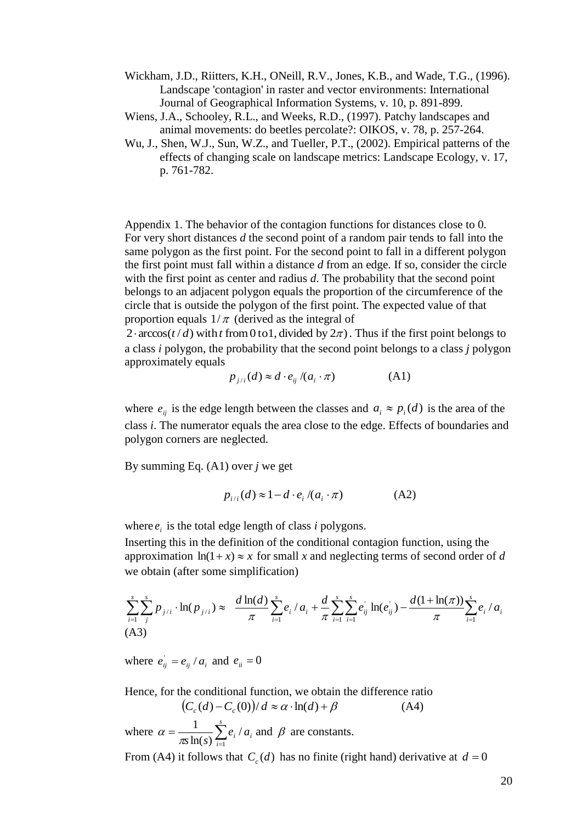- Wickham, J.D., Riitters, K.H., ONeill, R.V., Jones, K.B., and Wade, T.G., (1996). Landscape 'contagion' in raster and vector environments: International Journal of Geographical Information Systems, v. 10, p. 891-899.
- Wiens, J.A., Schooley, R.L., and Weeks, R.D., (1997). Patchy landscapes and animal movements: do beetles percolate?: OIKOS, v. 78, p. 257-264.
- Wu, J., Shen, W.J., Sun, W.Z., and Tueller, P.T., (2002). Empirical patterns of the effects of changing scale on landscape metrics: Landscape Ecology, v. 17, p. 761-782.

Appendix 1. The behavior of the contagion functions for distances close to 0. For very short distances *d* the second point of a random pair tends to fall into the same polygon as the first point. For the second point to fall in a different polygon the first point must fall within a distance *d* from an edge. If so, consider the circle with the first point as center and radius *d*. The probability that the second point belongs to an adjacent polygon equals the proportion of the circumference of the circle that is outside the polygon of the first point. The expected value of that proportion equals  $1/\pi$  (derived as the integral of

 $2 \cdot \arccos(t/d)$  with *t* from 0 to 1, divided by  $2\pi$ ). Thus if the first point belongs to a class *i* polygon, the probability that the second point belongs to a class *j* polygon approximately equals

$$
p_{j/i}(d) \approx d \cdot e_{ij} / (a_i \cdot \pi) \tag{A1}
$$

where  $e_{ij}$  is the edge length between the classes and  $a_i \approx p_i(d)$  is the area of the class *i*. The numerator equals the area close to the edge. Effects of boundaries and polygon corners are neglected.

By summing Eq. (A1) over *j* we get

$$
p_{i/i}(d) \approx 1 - d \cdot e_i / (a_i \cdot \pi) \tag{A2}
$$

where  $e_i$  is the total edge length of class *i* polygons.

Inserting this in the definition of the conditional contagion function, using the approximation  $\ln(1+x) \approx x$  for small *x* and neglecting terms of second order of *d* we obtain (after some simplification)

$$
\sum_{i=1}^{s} \sum_{j}^{s} p_{j/i} \cdot \ln(p_{j/i}) \approx \frac{d \ln(d)}{\pi} \sum_{i=1}^{s} e_i / a_i + \frac{d}{\pi} \sum_{i=1}^{s} \sum_{i=1}^{s} e_{ij} \ln(e_{ij}) - \frac{d(1 + \ln(\pi))}{\pi} \sum_{i=1}^{s} e_i / a_i
$$
\n(A3)

where  $e_{ij} = e_{ij} / a_i$  and  $e_{ii} = 0$ 

Hence, for the conditional function, we obtain the difference ratio  $\left(C_c(d) - C_c(0)\right) / d \approx \alpha \cdot \ln(d) + \beta$  (A4)

where  $\alpha = \frac{1}{\pi s \ln(s)} \sum_{i=1}^{s}$ *i*  $e_i / a_i$  $\sin(s)$   $\sum_{i=1}$ /  $ln(s)$ 1 π  $\alpha = \frac{1}{\sqrt{2\pi}} \sum_{i=1}^{\infty} e_i/a_i$  and  $\beta$  are constants.

From (A4) it follows that  $C_c(d)$  has no finite (right hand) derivative at  $d = 0$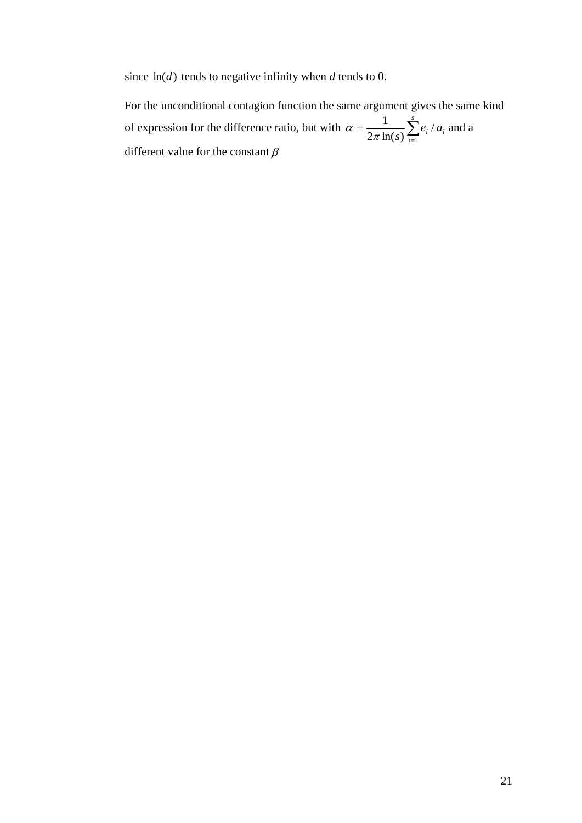since  $ln(d)$  tends to negative infinity when  $d$  tends to 0.

For the unconditional contagion function the same argument gives the same kind of expression for the difference ratio, but with  $\alpha = \frac{1}{2\pi \ln(s)} \sum_{i=1}^{s}$ *i*  $e_i / a_i$  $s)$   $\sum_{i=1}$ /  $2\pi \ln(s)$ 1 π  $\alpha = \frac{1}{2}$   $\sum_{i} e_i / a_i$  and a different value for the constant  $\beta$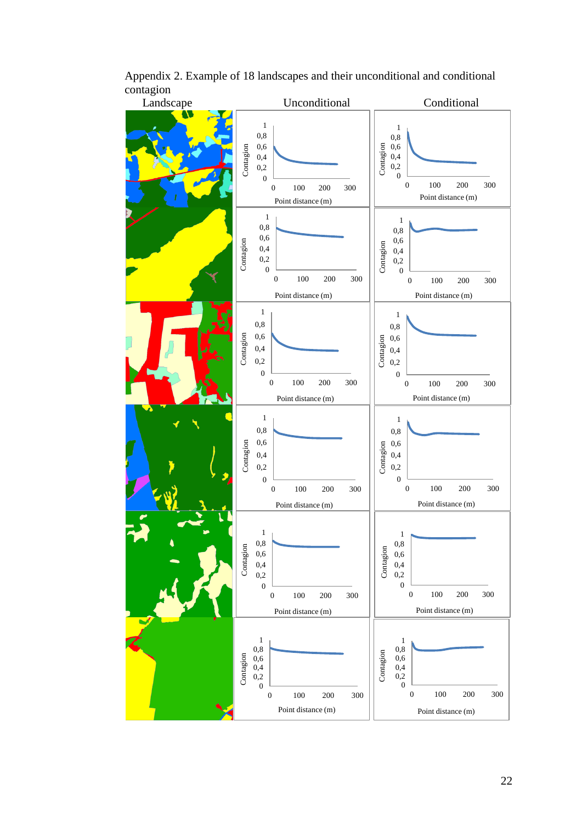

Appendix 2. Example of 18 landscapes and their unconditional and conditional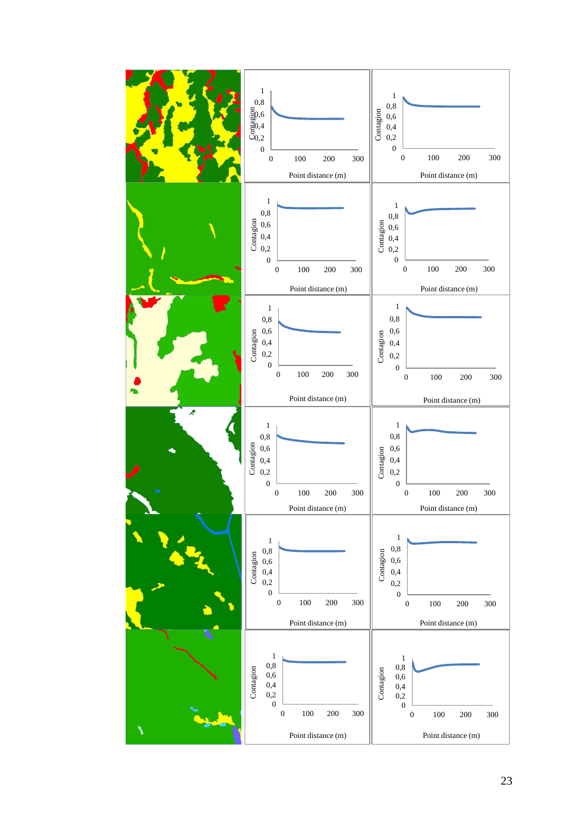